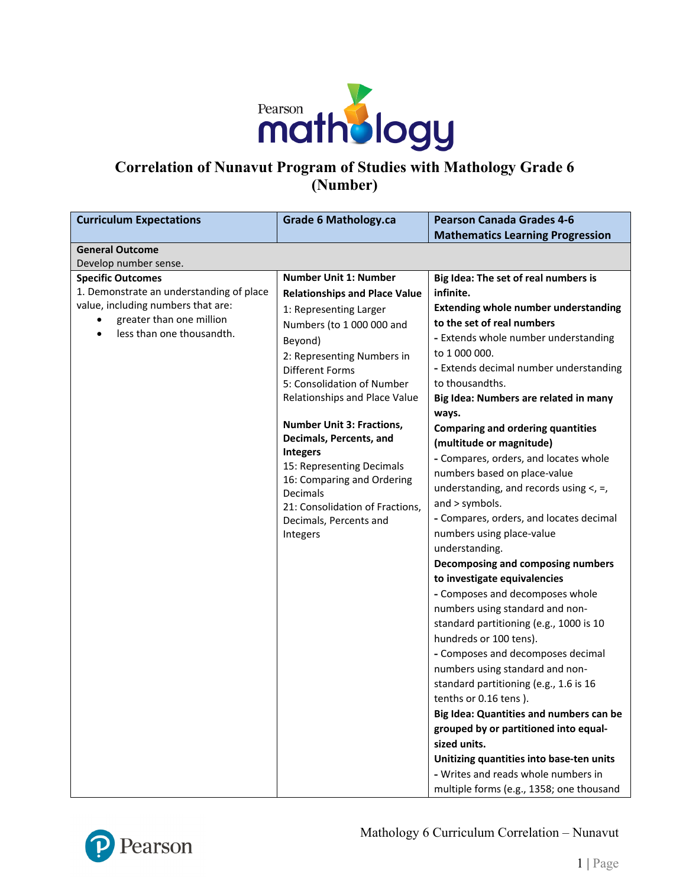

# **Correlation of Nunavut Program of Studies with Mathology Grade 6 (Number)**

| <b>Curriculum Expectations</b>           | <b>Grade 6 Mathology.ca</b>            | <b>Pearson Canada Grades 4-6</b>            |
|------------------------------------------|----------------------------------------|---------------------------------------------|
|                                          |                                        | <b>Mathematics Learning Progression</b>     |
| <b>General Outcome</b>                   |                                        |                                             |
| Develop number sense.                    |                                        |                                             |
| <b>Specific Outcomes</b>                 | <b>Number Unit 1: Number</b>           | Big Idea: The set of real numbers is        |
| 1. Demonstrate an understanding of place | <b>Relationships and Place Value</b>   | infinite.                                   |
| value, including numbers that are:       | 1: Representing Larger                 | <b>Extending whole number understanding</b> |
| greater than one million                 | Numbers (to 1 000 000 and              | to the set of real numbers                  |
| less than one thousandth.<br>$\bullet$   | Beyond)                                | - Extends whole number understanding        |
|                                          | 2: Representing Numbers in             | to 1 000 000.                               |
|                                          | Different Forms                        | - Extends decimal number understanding      |
|                                          | 5: Consolidation of Number             | to thousandths.                             |
|                                          | Relationships and Place Value          | Big Idea: Numbers are related in many       |
|                                          |                                        | ways.                                       |
|                                          | <b>Number Unit 3: Fractions,</b>       | <b>Comparing and ordering quantities</b>    |
|                                          | Decimals, Percents, and                | (multitude or magnitude)                    |
|                                          | <b>Integers</b>                        | - Compares, orders, and locates whole       |
|                                          | 15: Representing Decimals              | numbers based on place-value                |
|                                          | 16: Comparing and Ordering<br>Decimals | understanding, and records using $\lt$ , =, |
|                                          | 21: Consolidation of Fractions,        | and > symbols.                              |
|                                          | Decimals, Percents and                 | - Compares, orders, and locates decimal     |
|                                          | Integers                               | numbers using place-value                   |
|                                          |                                        | understanding.                              |
|                                          |                                        | Decomposing and composing numbers           |
|                                          |                                        | to investigate equivalencies                |
|                                          |                                        | - Composes and decomposes whole             |
|                                          |                                        | numbers using standard and non-             |
|                                          |                                        | standard partitioning (e.g., 1000 is 10     |
|                                          |                                        | hundreds or 100 tens).                      |
|                                          |                                        | - Composes and decomposes decimal           |
|                                          |                                        | numbers using standard and non-             |
|                                          |                                        | standard partitioning (e.g., 1.6 is 16      |
|                                          |                                        | tenths or 0.16 tens).                       |
|                                          |                                        | Big Idea: Quantities and numbers can be     |
|                                          |                                        | grouped by or partitioned into equal-       |
|                                          |                                        | sized units.                                |
|                                          |                                        | Unitizing quantities into base-ten units    |
|                                          |                                        | - Writes and reads whole numbers in         |
|                                          |                                        |                                             |

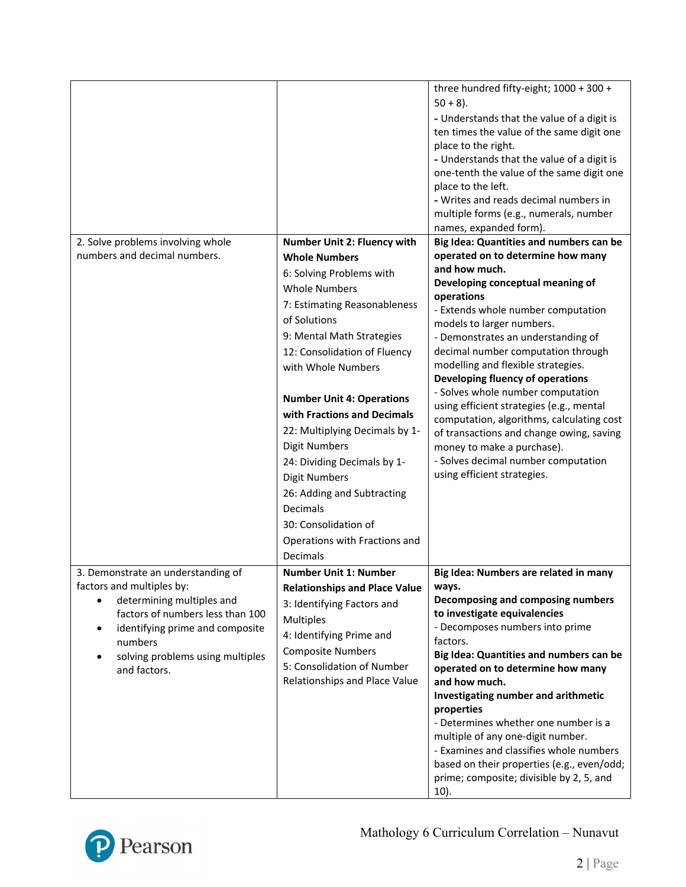|                                              |                                      | three hundred fifty-eight; 1000 + 300 +<br>$50 + 8$ ).                       |
|----------------------------------------------|--------------------------------------|------------------------------------------------------------------------------|
|                                              |                                      | - Understands that the value of a digit is                                   |
|                                              |                                      | ten times the value of the same digit one                                    |
|                                              |                                      | place to the right.                                                          |
|                                              |                                      | - Understands that the value of a digit is                                   |
|                                              |                                      | one-tenth the value of the same digit one                                    |
|                                              |                                      | place to the left.                                                           |
|                                              |                                      | - Writes and reads decimal numbers in                                        |
|                                              |                                      | multiple forms (e.g., numerals, number                                       |
| 2. Solve problems involving whole            | Number Unit 2: Fluency with          | names, expanded form).<br>Big Idea: Quantities and numbers can be            |
| numbers and decimal numbers.                 | <b>Whole Numbers</b>                 | operated on to determine how many                                            |
|                                              | 6: Solving Problems with             | and how much.                                                                |
|                                              | <b>Whole Numbers</b>                 | Developing conceptual meaning of                                             |
|                                              |                                      | operations                                                                   |
|                                              | 7: Estimating Reasonableness         | - Extends whole number computation                                           |
|                                              | of Solutions                         | models to larger numbers.                                                    |
|                                              | 9: Mental Math Strategies            | - Demonstrates an understanding of                                           |
|                                              | 12: Consolidation of Fluency         | decimal number computation through<br>modelling and flexible strategies.     |
|                                              | with Whole Numbers                   | Developing fluency of operations                                             |
|                                              |                                      | - Solves whole number computation                                            |
|                                              | <b>Number Unit 4: Operations</b>     | using efficient strategies (e.g., mental                                     |
|                                              | with Fractions and Decimals          | computation, algorithms, calculating cost                                    |
|                                              | 22: Multiplying Decimals by 1-       | of transactions and change owing, saving                                     |
|                                              | <b>Digit Numbers</b>                 | money to make a purchase).                                                   |
|                                              | 24: Dividing Decimals by 1-          | - Solves decimal number computation                                          |
|                                              | <b>Digit Numbers</b>                 | using efficient strategies.                                                  |
|                                              | 26: Adding and Subtracting           |                                                                              |
|                                              | Decimals                             |                                                                              |
|                                              | 30: Consolidation of                 |                                                                              |
|                                              | Operations with Fractions and        |                                                                              |
|                                              | Decimals                             |                                                                              |
| 3. Demonstrate an understanding of           | <b>Number Unit 1: Number</b>         | Big Idea: Numbers are related in many                                        |
| factors and multiples by:                    | <b>Relationships and Place Value</b> | ways.                                                                        |
| determining multiples and<br>$\bullet$       | 3: Identifying Factors and           | Decomposing and composing numbers                                            |
| factors of numbers less than 100             | <b>Multiples</b>                     | to investigate equivalencies                                                 |
| identifying prime and composite<br>$\bullet$ | 4: Identifying Prime and             | - Decomposes numbers into prime                                              |
| numbers                                      | <b>Composite Numbers</b>             | factors.                                                                     |
| solving problems using multiples             | 5: Consolidation of Number           | Big Idea: Quantities and numbers can be<br>operated on to determine how many |
| and factors.                                 | Relationships and Place Value        | and how much.                                                                |
|                                              |                                      | Investigating number and arithmetic                                          |
|                                              |                                      | properties                                                                   |
|                                              |                                      | - Determines whether one number is a                                         |
|                                              |                                      | multiple of any one-digit number.                                            |
|                                              |                                      | - Examines and classifies whole numbers                                      |
|                                              |                                      | based on their properties (e.g., even/odd;                                   |
|                                              |                                      | prime; composite; divisible by 2, 5, and                                     |
|                                              |                                      | 10).                                                                         |

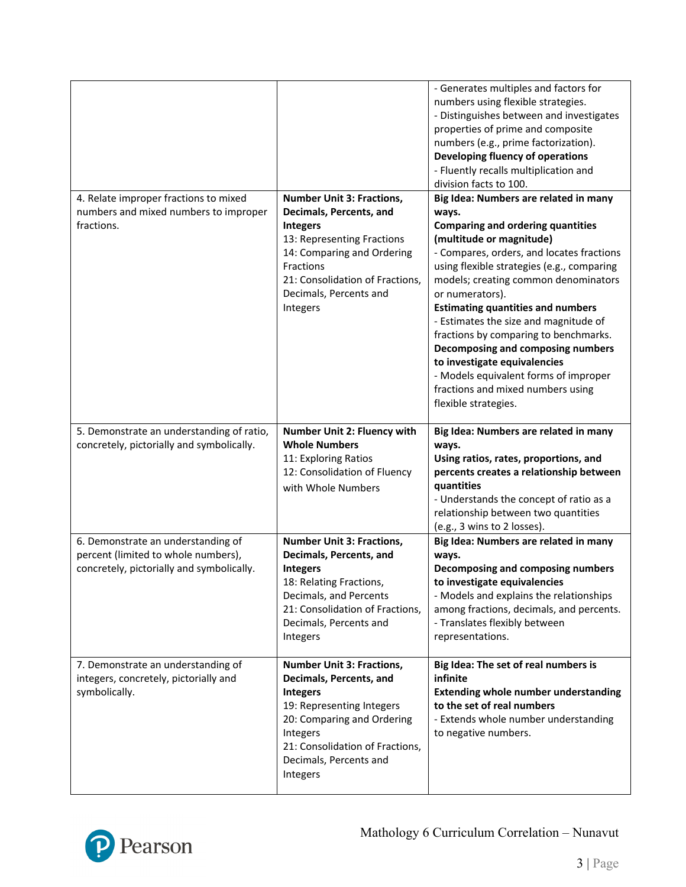|                                                                                                                        |                                                                                                                                                                                                                                  | - Generates multiples and factors for<br>numbers using flexible strategies.<br>- Distinguishes between and investigates<br>properties of prime and composite<br>numbers (e.g., prime factorization).<br>Developing fluency of operations<br>- Fluently recalls multiplication and<br>division facts to 100.                                                                                                                                                                                                                                                                           |
|------------------------------------------------------------------------------------------------------------------------|----------------------------------------------------------------------------------------------------------------------------------------------------------------------------------------------------------------------------------|---------------------------------------------------------------------------------------------------------------------------------------------------------------------------------------------------------------------------------------------------------------------------------------------------------------------------------------------------------------------------------------------------------------------------------------------------------------------------------------------------------------------------------------------------------------------------------------|
| 4. Relate improper fractions to mixed<br>numbers and mixed numbers to improper<br>fractions.                           | <b>Number Unit 3: Fractions,</b><br>Decimals, Percents, and<br><b>Integers</b><br>13: Representing Fractions<br>14: Comparing and Ordering<br>Fractions<br>21: Consolidation of Fractions,<br>Decimals, Percents and<br>Integers | Big Idea: Numbers are related in many<br>ways.<br><b>Comparing and ordering quantities</b><br>(multitude or magnitude)<br>- Compares, orders, and locates fractions<br>using flexible strategies (e.g., comparing<br>models; creating common denominators<br>or numerators).<br><b>Estimating quantities and numbers</b><br>- Estimates the size and magnitude of<br>fractions by comparing to benchmarks.<br>Decomposing and composing numbers<br>to investigate equivalencies<br>- Models equivalent forms of improper<br>fractions and mixed numbers using<br>flexible strategies. |
| 5. Demonstrate an understanding of ratio,<br>concretely, pictorially and symbolically.                                 | <b>Number Unit 2: Fluency with</b><br><b>Whole Numbers</b><br>11: Exploring Ratios<br>12: Consolidation of Fluency<br>with Whole Numbers                                                                                         | Big Idea: Numbers are related in many<br>ways.<br>Using ratios, rates, proportions, and<br>percents creates a relationship between<br>quantities<br>- Understands the concept of ratio as a<br>relationship between two quantities<br>(e.g., 3 wins to 2 losses).                                                                                                                                                                                                                                                                                                                     |
| 6. Demonstrate an understanding of<br>percent (limited to whole numbers),<br>concretely, pictorially and symbolically. | <b>Number Unit 3: Fractions,</b><br>Decimals, Percents, and<br><b>Integers</b><br>18: Relating Fractions,<br>Decimals, and Percents<br>21: Consolidation of Fractions,<br>Decimals, Percents and<br>Integers                     | Big Idea: Numbers are related in many<br>ways.<br>Decomposing and composing numbers<br>to investigate equivalencies<br>- Models and explains the relationships<br>among fractions, decimals, and percents.<br>- Translates flexibly between<br>representations.                                                                                                                                                                                                                                                                                                                       |
| 7. Demonstrate an understanding of<br>integers, concretely, pictorially and<br>symbolically.                           | <b>Number Unit 3: Fractions,</b><br>Decimals, Percents, and<br><b>Integers</b><br>19: Representing Integers<br>20: Comparing and Ordering<br>Integers<br>21: Consolidation of Fractions,<br>Decimals, Percents and<br>Integers   | Big Idea: The set of real numbers is<br>infinite<br><b>Extending whole number understanding</b><br>to the set of real numbers<br>- Extends whole number understanding<br>to negative numbers.                                                                                                                                                                                                                                                                                                                                                                                         |

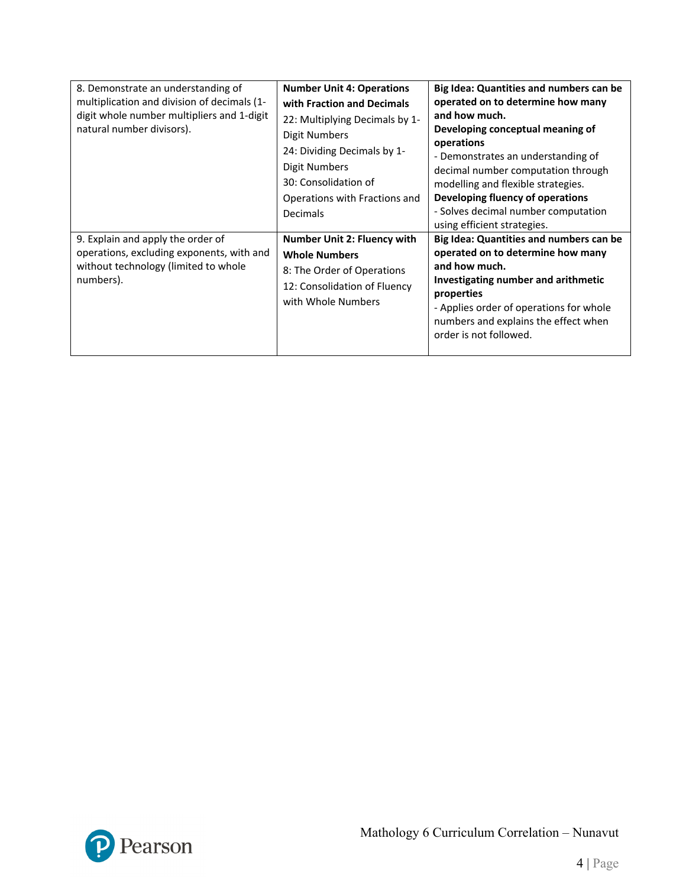| 8. Demonstrate an understanding of<br>multiplication and division of decimals (1-<br>digit whole number multipliers and 1-digit<br>natural number divisors). | <b>Number Unit 4: Operations</b><br>with Fraction and Decimals<br>22: Multiplying Decimals by 1-<br>Digit Numbers<br>24: Dividing Decimals by 1-<br>Digit Numbers<br>30: Consolidation of<br>Operations with Fractions and<br>Decimals | Big Idea: Quantities and numbers can be<br>operated on to determine how many<br>and how much.<br>Developing conceptual meaning of<br>operations<br>- Demonstrates an understanding of<br>decimal number computation through<br>modelling and flexible strategies.<br>Developing fluency of operations<br>- Solves decimal number computation<br>using efficient strategies. |
|--------------------------------------------------------------------------------------------------------------------------------------------------------------|----------------------------------------------------------------------------------------------------------------------------------------------------------------------------------------------------------------------------------------|-----------------------------------------------------------------------------------------------------------------------------------------------------------------------------------------------------------------------------------------------------------------------------------------------------------------------------------------------------------------------------|
| 9. Explain and apply the order of<br>operations, excluding exponents, with and<br>without technology (limited to whole<br>numbers).                          | Number Unit 2: Fluency with<br><b>Whole Numbers</b><br>8: The Order of Operations<br>12: Consolidation of Fluency<br>with Whole Numbers                                                                                                | Big Idea: Quantities and numbers can be<br>operated on to determine how many<br>and how much.<br>Investigating number and arithmetic<br>properties<br>- Applies order of operations for whole<br>numbers and explains the effect when<br>order is not followed.                                                                                                             |

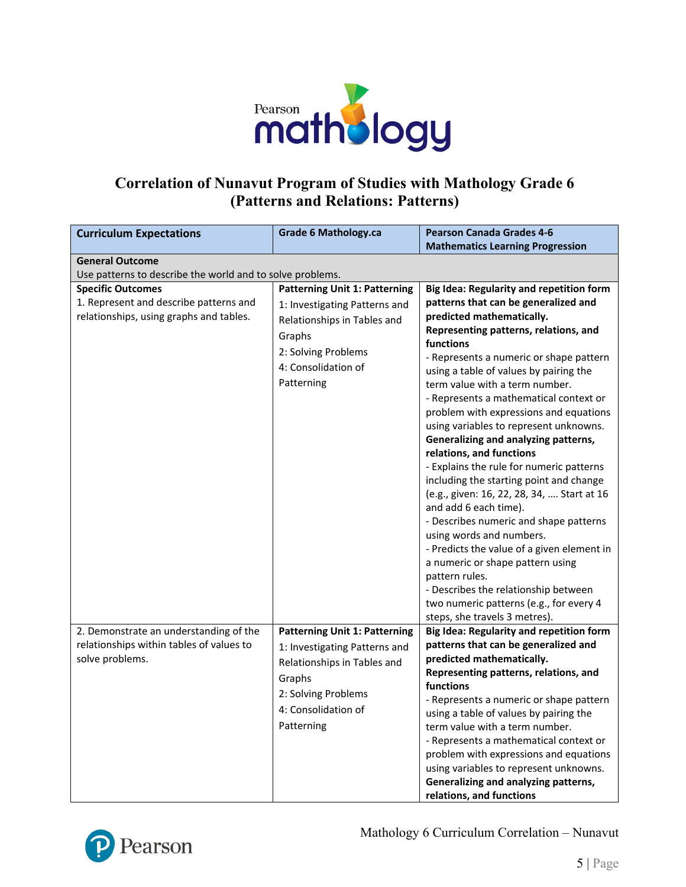

#### **Correlation of Nunavut Program of Studies with Mathology Grade 6 (Patterns and Relations: Patterns)**

| <b>Curriculum Expectations</b>                            | <b>Grade 6 Mathology.ca</b>          | <b>Pearson Canada Grades 4-6</b>                                                 |  |
|-----------------------------------------------------------|--------------------------------------|----------------------------------------------------------------------------------|--|
|                                                           |                                      | <b>Mathematics Learning Progression</b>                                          |  |
| <b>General Outcome</b>                                    |                                      |                                                                                  |  |
| Use patterns to describe the world and to solve problems. |                                      |                                                                                  |  |
| <b>Specific Outcomes</b>                                  | <b>Patterning Unit 1: Patterning</b> | Big Idea: Regularity and repetition form                                         |  |
| 1. Represent and describe patterns and                    | 1: Investigating Patterns and        | patterns that can be generalized and                                             |  |
| relationships, using graphs and tables.                   | Relationships in Tables and          | predicted mathematically.                                                        |  |
|                                                           | Graphs                               | Representing patterns, relations, and                                            |  |
|                                                           | 2: Solving Problems                  | functions                                                                        |  |
|                                                           | 4: Consolidation of                  | - Represents a numeric or shape pattern                                          |  |
|                                                           | Patterning                           | using a table of values by pairing the                                           |  |
|                                                           |                                      | term value with a term number.                                                   |  |
|                                                           |                                      | - Represents a mathematical context or                                           |  |
|                                                           |                                      | problem with expressions and equations<br>using variables to represent unknowns. |  |
|                                                           |                                      | Generalizing and analyzing patterns,                                             |  |
|                                                           |                                      | relations, and functions                                                         |  |
|                                                           |                                      | - Explains the rule for numeric patterns                                         |  |
|                                                           |                                      | including the starting point and change                                          |  |
|                                                           |                                      | (e.g., given: 16, 22, 28, 34,  Start at 16                                       |  |
|                                                           |                                      | and add 6 each time).                                                            |  |
|                                                           |                                      | - Describes numeric and shape patterns                                           |  |
|                                                           |                                      | using words and numbers.                                                         |  |
|                                                           |                                      | - Predicts the value of a given element in                                       |  |
|                                                           |                                      | a numeric or shape pattern using                                                 |  |
|                                                           |                                      | pattern rules.                                                                   |  |
|                                                           |                                      | - Describes the relationship between                                             |  |
|                                                           |                                      | two numeric patterns (e.g., for every 4                                          |  |
|                                                           |                                      | steps, she travels 3 metres).                                                    |  |
| 2. Demonstrate an understanding of the                    | <b>Patterning Unit 1: Patterning</b> | Big Idea: Regularity and repetition form                                         |  |
| relationships within tables of values to                  | 1: Investigating Patterns and        | patterns that can be generalized and                                             |  |
| solve problems.                                           | Relationships in Tables and          | predicted mathematically.                                                        |  |
|                                                           |                                      | Representing patterns, relations, and                                            |  |
|                                                           | Graphs                               | functions                                                                        |  |
|                                                           | 2: Solving Problems                  | - Represents a numeric or shape pattern                                          |  |
|                                                           | 4: Consolidation of                  | using a table of values by pairing the                                           |  |
|                                                           | Patterning                           | term value with a term number.                                                   |  |
|                                                           |                                      | - Represents a mathematical context or                                           |  |
|                                                           |                                      | problem with expressions and equations                                           |  |
|                                                           |                                      | using variables to represent unknowns.                                           |  |
|                                                           |                                      | Generalizing and analyzing patterns,                                             |  |
|                                                           |                                      | relations, and functions                                                         |  |



Mathology 6 Curriculum Correlation – Nunavut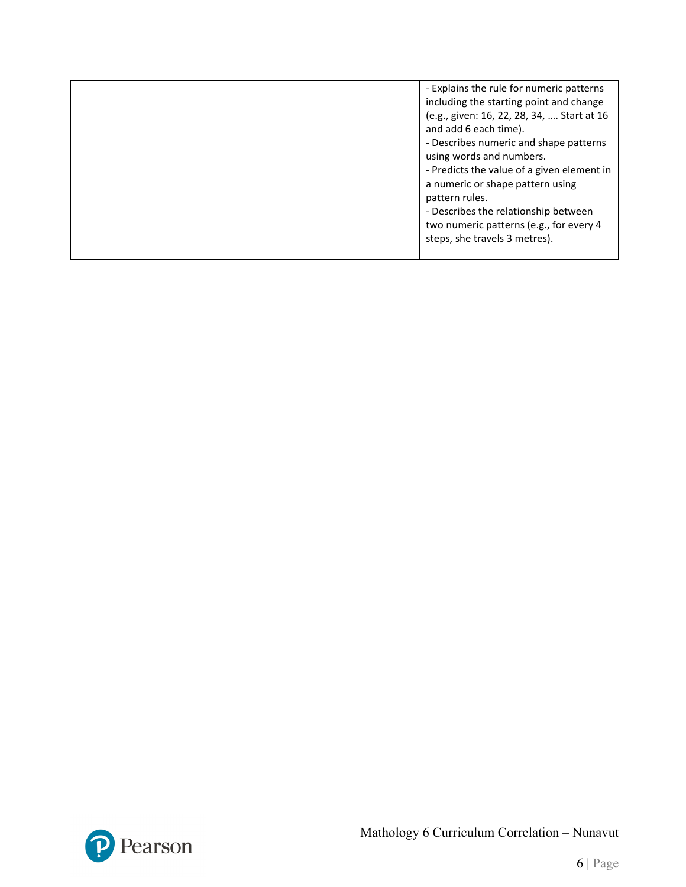| - Explains the rule for numeric patterns<br>including the starting point and change<br>(e.g., given: 16, 22, 28, 34,  Start at 16<br>and add 6 each time).<br>- Describes numeric and shape patterns<br>using words and numbers.<br>- Predicts the value of a given element in<br>a numeric or shape pattern using<br>pattern rules.<br>- Describes the relationship between<br>two numeric patterns (e.g., for every 4<br>steps, she travels 3 metres). |
|----------------------------------------------------------------------------------------------------------------------------------------------------------------------------------------------------------------------------------------------------------------------------------------------------------------------------------------------------------------------------------------------------------------------------------------------------------|
|                                                                                                                                                                                                                                                                                                                                                                                                                                                          |

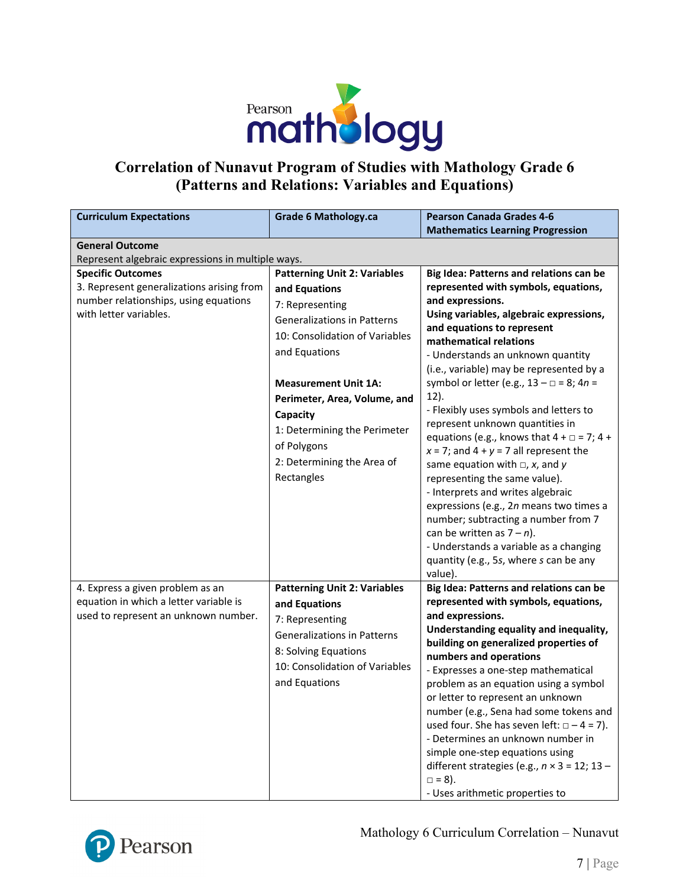

### **Correlation of Nunavut Program of Studies with Mathology Grade 6 (Patterns and Relations: Variables and Equations)**

| <b>Curriculum Expectations</b>                                                | <b>Grade 6 Mathology.ca</b>         | <b>Pearson Canada Grades 4-6</b>                                                         |
|-------------------------------------------------------------------------------|-------------------------------------|------------------------------------------------------------------------------------------|
|                                                                               |                                     | <b>Mathematics Learning Progression</b>                                                  |
| <b>General Outcome</b>                                                        |                                     |                                                                                          |
| Represent algebraic expressions in multiple ways.<br><b>Specific Outcomes</b> | <b>Patterning Unit 2: Variables</b> | Big Idea: Patterns and relations can be                                                  |
| 3. Represent generalizations arising from                                     | and Equations                       | represented with symbols, equations,                                                     |
| number relationships, using equations                                         |                                     | and expressions.                                                                         |
| with letter variables.                                                        | 7: Representing                     | Using variables, algebraic expressions,                                                  |
|                                                                               | <b>Generalizations in Patterns</b>  | and equations to represent                                                               |
|                                                                               | 10: Consolidation of Variables      | mathematical relations                                                                   |
|                                                                               | and Equations                       | - Understands an unknown quantity                                                        |
|                                                                               |                                     | (i.e., variable) may be represented by a                                                 |
|                                                                               | <b>Measurement Unit 1A:</b>         | symbol or letter (e.g., $13 - \square = 8$ ; $4n =$                                      |
|                                                                               | Perimeter, Area, Volume, and        | 12).                                                                                     |
|                                                                               | Capacity                            | - Flexibly uses symbols and letters to                                                   |
|                                                                               | 1: Determining the Perimeter        | represent unknown quantities in<br>equations (e.g., knows that $4 + \square = 7$ ; $4 +$ |
|                                                                               | of Polygons                         | $x = 7$ ; and $4 + y = 7$ all represent the                                              |
|                                                                               | 2: Determining the Area of          | same equation with $\Box$ , x, and y                                                     |
|                                                                               | Rectangles                          | representing the same value).                                                            |
|                                                                               |                                     | - Interprets and writes algebraic                                                        |
|                                                                               |                                     | expressions (e.g., 2n means two times a                                                  |
|                                                                               |                                     | number; subtracting a number from 7                                                      |
|                                                                               |                                     | can be written as $7 - n$ ).                                                             |
|                                                                               |                                     | - Understands a variable as a changing                                                   |
|                                                                               |                                     | quantity (e.g., 5s, where s can be any                                                   |
|                                                                               |                                     | value).                                                                                  |
| 4. Express a given problem as an<br>equation in which a letter variable is    | <b>Patterning Unit 2: Variables</b> | Big Idea: Patterns and relations can be<br>represented with symbols, equations,          |
| used to represent an unknown number.                                          | and Equations                       | and expressions.                                                                         |
|                                                                               | 7: Representing                     | Understanding equality and inequality,                                                   |
|                                                                               | <b>Generalizations in Patterns</b>  | building on generalized properties of                                                    |
|                                                                               | 8: Solving Equations                | numbers and operations                                                                   |
|                                                                               | 10: Consolidation of Variables      | - Expresses a one-step mathematical                                                      |
|                                                                               | and Equations                       | problem as an equation using a symbol                                                    |
|                                                                               |                                     | or letter to represent an unknown                                                        |
|                                                                               |                                     | number (e.g., Sena had some tokens and                                                   |
|                                                                               |                                     | used four. She has seven left: $\Box - 4 = 7$ ).                                         |
|                                                                               |                                     | - Determines an unknown number in                                                        |
|                                                                               |                                     | simple one-step equations using<br>different strategies (e.g., $n \times 3 = 12$ ; 13 -  |
|                                                                               |                                     | $\Box = 8$ ).                                                                            |
|                                                                               |                                     | - Uses arithmetic properties to                                                          |

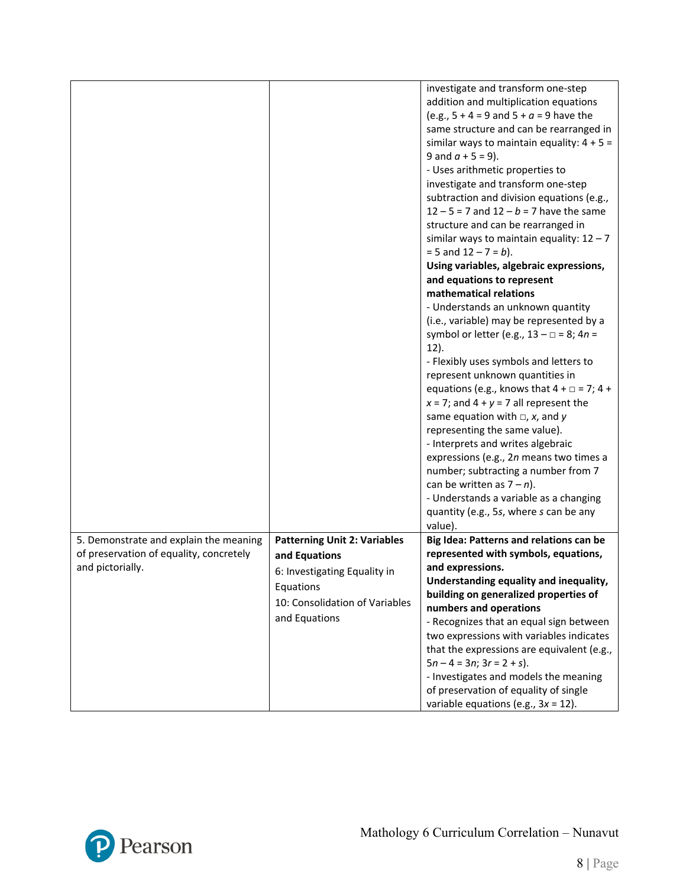|                                         |                                     | investigate and transform one-step                    |
|-----------------------------------------|-------------------------------------|-------------------------------------------------------|
|                                         |                                     | addition and multiplication equations                 |
|                                         |                                     | (e.g., $5 + 4 = 9$ and $5 + a = 9$ have the           |
|                                         |                                     | same structure and can be rearranged in               |
|                                         |                                     | similar ways to maintain equality: $4 + 5 =$          |
|                                         |                                     | 9 and $a + 5 = 9$ ).                                  |
|                                         |                                     | - Uses arithmetic properties to                       |
|                                         |                                     | investigate and transform one-step                    |
|                                         |                                     | subtraction and division equations (e.g.,             |
|                                         |                                     | $12 - 5 = 7$ and $12 - b = 7$ have the same           |
|                                         |                                     | structure and can be rearranged in                    |
|                                         |                                     | similar ways to maintain equality: $12 - 7$           |
|                                         |                                     | $= 5$ and $12 - 7 = b$ ).                             |
|                                         |                                     | Using variables, algebraic expressions,               |
|                                         |                                     | and equations to represent                            |
|                                         |                                     | mathematical relations                                |
|                                         |                                     | - Understands an unknown quantity                     |
|                                         |                                     | (i.e., variable) may be represented by a              |
|                                         |                                     | symbol or letter (e.g., $13 - \square = 8$ ; $4n =$   |
|                                         |                                     | $12$ ).                                               |
|                                         |                                     | - Flexibly uses symbols and letters to                |
|                                         |                                     | represent unknown quantities in                       |
|                                         |                                     | equations (e.g., knows that $4 + \square = 7$ ; $4 +$ |
|                                         |                                     | $x = 7$ ; and $4 + y = 7$ all represent the           |
|                                         |                                     | same equation with $\Box$ , x, and y                  |
|                                         |                                     | representing the same value).                         |
|                                         |                                     | - Interprets and writes algebraic                     |
|                                         |                                     | expressions (e.g., 2n means two times a               |
|                                         |                                     | number; subtracting a number from 7                   |
|                                         |                                     | can be written as $7 - n$ ).                          |
|                                         |                                     | - Understands a variable as a changing                |
|                                         |                                     | quantity (e.g., 5s, where s can be any                |
|                                         |                                     | value).                                               |
| 5. Demonstrate and explain the meaning  | <b>Patterning Unit 2: Variables</b> | Big Idea: Patterns and relations can be               |
| of preservation of equality, concretely |                                     | represented with symbols, equations,                  |
| and pictorially.                        | and Equations                       | and expressions.                                      |
|                                         | 6: Investigating Equality in        | Understanding equality and inequality,                |
|                                         | Equations                           | building on generalized properties of                 |
|                                         | 10: Consolidation of Variables      | numbers and operations                                |
|                                         | and Equations                       | - Recognizes that an equal sign between               |
|                                         |                                     | two expressions with variables indicates              |
|                                         |                                     | that the expressions are equivalent (e.g.,            |
|                                         |                                     | $5n - 4 = 3n$ ; $3r = 2 + s$ ).                       |
|                                         |                                     | - Investigates and models the meaning                 |
|                                         |                                     | of preservation of equality of single                 |
|                                         |                                     | variable equations (e.g., $3x = 12$ ).                |
|                                         |                                     |                                                       |

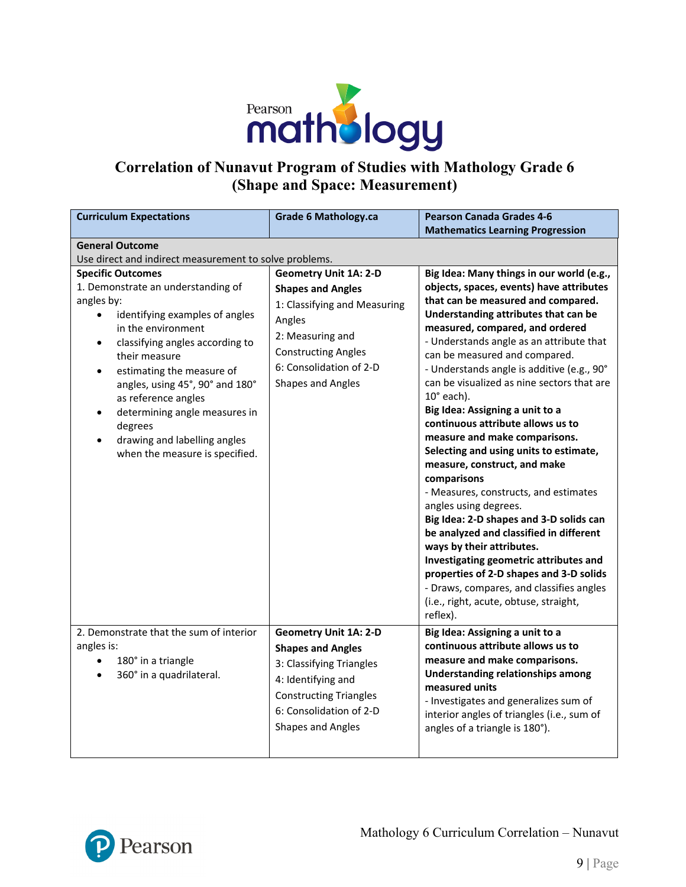

# **Correlation of Nunavut Program of Studies with Mathology Grade 6 (Shape and Space: Measurement)**

| <b>Curriculum Expectations</b>                                                                                                                                                                                                                                                                                                                                                                                                                    | <b>Grade 6 Mathology.ca</b>                                                                                                                                                                                 | <b>Pearson Canada Grades 4-6</b><br><b>Mathematics Learning Progression</b>                                                                                                                                                                                                                                                                                                                                                                                                                                                                                                                                                                                                                                                                                                                                                                                                                                                                                                          |  |
|---------------------------------------------------------------------------------------------------------------------------------------------------------------------------------------------------------------------------------------------------------------------------------------------------------------------------------------------------------------------------------------------------------------------------------------------------|-------------------------------------------------------------------------------------------------------------------------------------------------------------------------------------------------------------|--------------------------------------------------------------------------------------------------------------------------------------------------------------------------------------------------------------------------------------------------------------------------------------------------------------------------------------------------------------------------------------------------------------------------------------------------------------------------------------------------------------------------------------------------------------------------------------------------------------------------------------------------------------------------------------------------------------------------------------------------------------------------------------------------------------------------------------------------------------------------------------------------------------------------------------------------------------------------------------|--|
| <b>General Outcome</b><br>Use direct and indirect measurement to solve problems.                                                                                                                                                                                                                                                                                                                                                                  |                                                                                                                                                                                                             |                                                                                                                                                                                                                                                                                                                                                                                                                                                                                                                                                                                                                                                                                                                                                                                                                                                                                                                                                                                      |  |
| <b>Specific Outcomes</b><br>1. Demonstrate an understanding of<br>angles by:<br>identifying examples of angles<br>$\bullet$<br>in the environment<br>classifying angles according to<br>$\bullet$<br>their measure<br>estimating the measure of<br>$\bullet$<br>angles, using 45°, 90° and 180°<br>as reference angles<br>determining angle measures in<br>degrees<br>drawing and labelling angles<br>$\bullet$<br>when the measure is specified. | <b>Geometry Unit 1A: 2-D</b><br><b>Shapes and Angles</b><br>1: Classifying and Measuring<br>Angles<br>2: Measuring and<br><b>Constructing Angles</b><br>6: Consolidation of 2-D<br><b>Shapes and Angles</b> | Big Idea: Many things in our world (e.g.,<br>objects, spaces, events) have attributes<br>that can be measured and compared.<br>Understanding attributes that can be<br>measured, compared, and ordered<br>- Understands angle as an attribute that<br>can be measured and compared.<br>- Understands angle is additive (e.g., 90°<br>can be visualized as nine sectors that are<br>$10^{\circ}$ each).<br>Big Idea: Assigning a unit to a<br>continuous attribute allows us to<br>measure and make comparisons.<br>Selecting and using units to estimate,<br>measure, construct, and make<br>comparisons<br>- Measures, constructs, and estimates<br>angles using degrees.<br>Big Idea: 2-D shapes and 3-D solids can<br>be analyzed and classified in different<br>ways by their attributes.<br>Investigating geometric attributes and<br>properties of 2-D shapes and 3-D solids<br>- Draws, compares, and classifies angles<br>(i.e., right, acute, obtuse, straight,<br>reflex). |  |
| 2. Demonstrate that the sum of interior<br>angles is:<br>180° in a triangle<br>$\bullet$<br>360° in a quadrilateral.<br>$\bullet$                                                                                                                                                                                                                                                                                                                 | <b>Geometry Unit 1A: 2-D</b><br><b>Shapes and Angles</b><br>3: Classifying Triangles<br>4: Identifying and<br><b>Constructing Triangles</b><br>6: Consolidation of 2-D<br><b>Shapes and Angles</b>          | Big Idea: Assigning a unit to a<br>continuous attribute allows us to<br>measure and make comparisons.<br><b>Understanding relationships among</b><br>measured units<br>- Investigates and generalizes sum of<br>interior angles of triangles (i.e., sum of<br>angles of a triangle is 180°).                                                                                                                                                                                                                                                                                                                                                                                                                                                                                                                                                                                                                                                                                         |  |

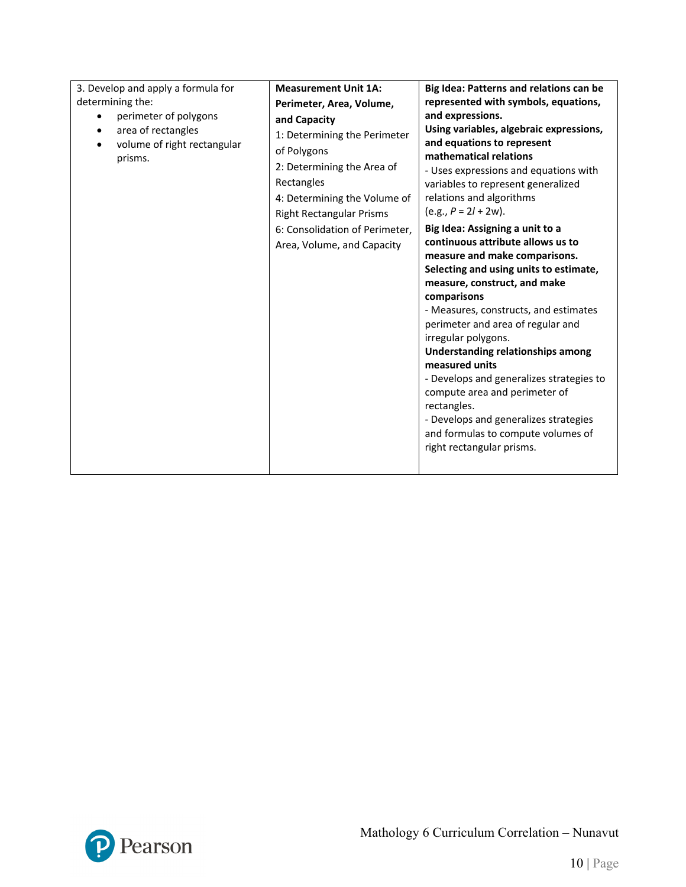| 3. Develop and apply a formula for | <b>Measurement Unit 1A:</b>     | Big Idea: Patterns and relations can be                                     |
|------------------------------------|---------------------------------|-----------------------------------------------------------------------------|
| determining the:                   | Perimeter, Area, Volume,        | represented with symbols, equations,                                        |
| perimeter of polygons              | and Capacity                    | and expressions.                                                            |
| area of rectangles<br>$\bullet$    | 1: Determining the Perimeter    | Using variables, algebraic expressions,                                     |
| volume of right rectangular        | of Polygons                     | and equations to represent                                                  |
| prisms.                            | 2: Determining the Area of      | mathematical relations                                                      |
|                                    | Rectangles                      | - Uses expressions and equations with<br>variables to represent generalized |
|                                    | 4: Determining the Volume of    | relations and algorithms                                                    |
|                                    |                                 | $(e.g., P = 2l + 2w).$                                                      |
|                                    | <b>Right Rectangular Prisms</b> |                                                                             |
|                                    | 6: Consolidation of Perimeter,  | Big Idea: Assigning a unit to a<br>continuous attribute allows us to        |
|                                    | Area, Volume, and Capacity      | measure and make comparisons.                                               |
|                                    |                                 | Selecting and using units to estimate,                                      |
|                                    |                                 | measure, construct, and make                                                |
|                                    |                                 | comparisons                                                                 |
|                                    |                                 | - Measures, constructs, and estimates                                       |
|                                    |                                 | perimeter and area of regular and                                           |
|                                    |                                 | irregular polygons.                                                         |
|                                    |                                 | <b>Understanding relationships among</b>                                    |
|                                    |                                 | measured units                                                              |
|                                    |                                 | - Develops and generalizes strategies to                                    |
|                                    |                                 | compute area and perimeter of                                               |
|                                    |                                 | rectangles.                                                                 |
|                                    |                                 | - Develops and generalizes strategies<br>and formulas to compute volumes of |
|                                    |                                 | right rectangular prisms.                                                   |
|                                    |                                 |                                                                             |
|                                    |                                 |                                                                             |

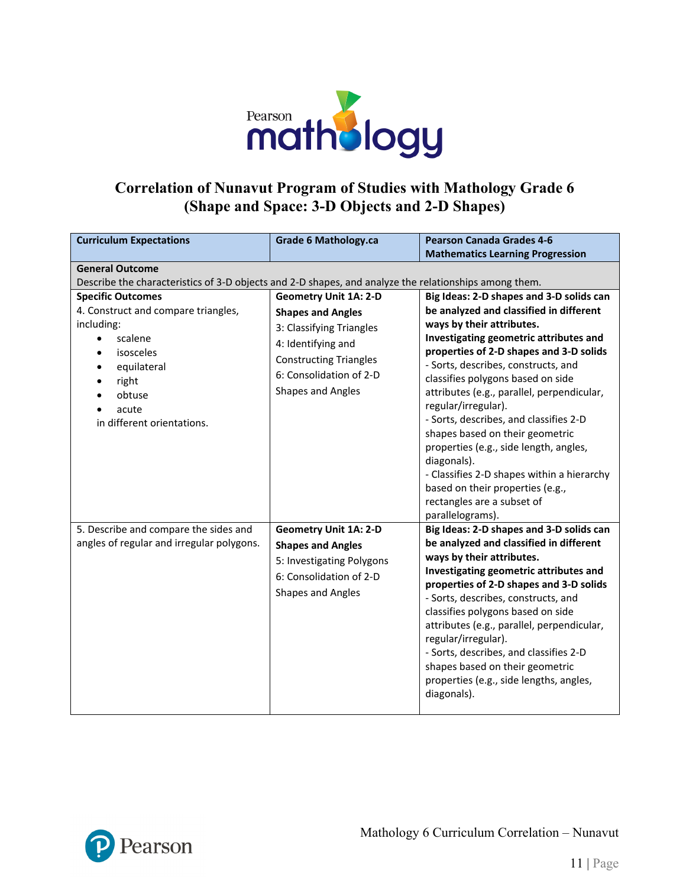

### **Correlation of Nunavut Program of Studies with Mathology Grade 6 (Shape and Space: 3-D Objects and 2-D Shapes)**

| <b>Curriculum Expectations</b>                                                                        | <b>Grade 6 Mathology.ca</b>   | <b>Pearson Canada Grades 4-6</b>                                     |  |  |
|-------------------------------------------------------------------------------------------------------|-------------------------------|----------------------------------------------------------------------|--|--|
|                                                                                                       |                               | <b>Mathematics Learning Progression</b>                              |  |  |
|                                                                                                       | <b>General Outcome</b>        |                                                                      |  |  |
| Describe the characteristics of 3-D objects and 2-D shapes, and analyze the relationships among them. |                               |                                                                      |  |  |
| <b>Specific Outcomes</b>                                                                              | <b>Geometry Unit 1A: 2-D</b>  | Big Ideas: 2-D shapes and 3-D solids can                             |  |  |
| 4. Construct and compare triangles,<br>including:                                                     | <b>Shapes and Angles</b>      | be analyzed and classified in different<br>ways by their attributes. |  |  |
| scalene                                                                                               | 3: Classifying Triangles      | Investigating geometric attributes and                               |  |  |
| isosceles                                                                                             | 4: Identifying and            | properties of 2-D shapes and 3-D solids                              |  |  |
| equilateral                                                                                           | <b>Constructing Triangles</b> | - Sorts, describes, constructs, and                                  |  |  |
| right                                                                                                 | 6: Consolidation of 2-D       | classifies polygons based on side                                    |  |  |
| obtuse                                                                                                | Shapes and Angles             | attributes (e.g., parallel, perpendicular,                           |  |  |
| acute                                                                                                 |                               | regular/irregular).                                                  |  |  |
| in different orientations.                                                                            |                               | - Sorts, describes, and classifies 2-D                               |  |  |
|                                                                                                       |                               | shapes based on their geometric                                      |  |  |
|                                                                                                       |                               | properties (e.g., side length, angles,                               |  |  |
|                                                                                                       |                               | diagonals).<br>- Classifies 2-D shapes within a hierarchy            |  |  |
|                                                                                                       |                               | based on their properties (e.g.,                                     |  |  |
|                                                                                                       |                               | rectangles are a subset of                                           |  |  |
|                                                                                                       |                               | parallelograms).                                                     |  |  |
| 5. Describe and compare the sides and                                                                 | <b>Geometry Unit 1A: 2-D</b>  | Big Ideas: 2-D shapes and 3-D solids can                             |  |  |
| angles of regular and irregular polygons.                                                             | <b>Shapes and Angles</b>      | be analyzed and classified in different                              |  |  |
|                                                                                                       | 5: Investigating Polygons     | ways by their attributes.                                            |  |  |
|                                                                                                       | 6: Consolidation of 2-D       | Investigating geometric attributes and                               |  |  |
|                                                                                                       | Shapes and Angles             | properties of 2-D shapes and 3-D solids                              |  |  |
|                                                                                                       |                               | - Sorts, describes, constructs, and                                  |  |  |
|                                                                                                       |                               | classifies polygons based on side                                    |  |  |
|                                                                                                       |                               | attributes (e.g., parallel, perpendicular,<br>regular/irregular).    |  |  |
|                                                                                                       |                               | - Sorts, describes, and classifies 2-D                               |  |  |
|                                                                                                       |                               | shapes based on their geometric                                      |  |  |
|                                                                                                       |                               | properties (e.g., side lengths, angles,                              |  |  |
|                                                                                                       |                               | diagonals).                                                          |  |  |
|                                                                                                       |                               |                                                                      |  |  |

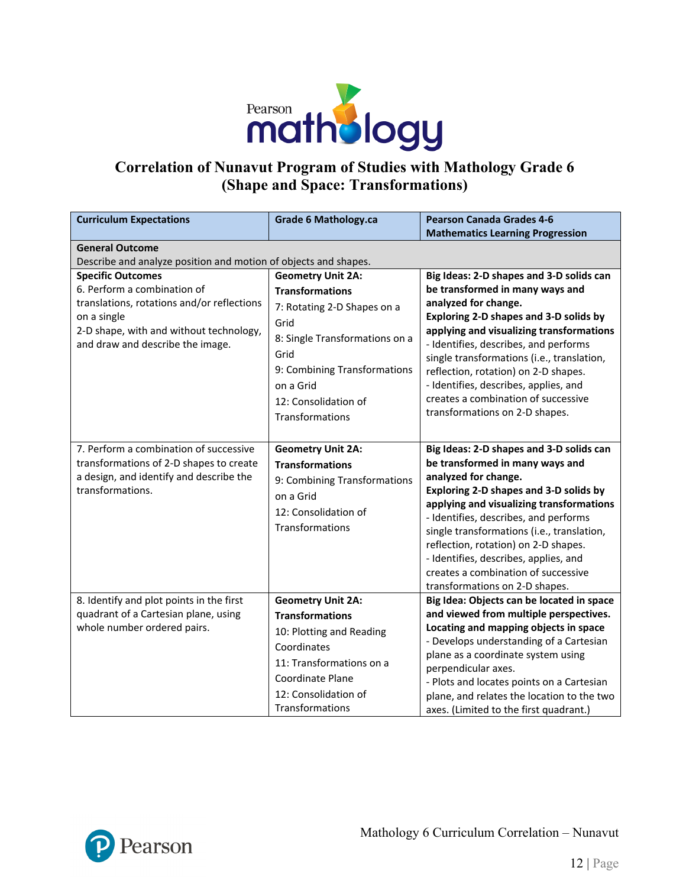

# **Correlation of Nunavut Program of Studies with Mathology Grade 6 (Shape and Space: Transformations)**

| <b>Curriculum Expectations</b>                                                                                                                                                                      | <b>Grade 6 Mathology.ca</b>                                                                                                                                                                                                 | <b>Pearson Canada Grades 4-6</b><br><b>Mathematics Learning Progression</b>                                                                                                                                                                                                                                                                                                                                                                |
|-----------------------------------------------------------------------------------------------------------------------------------------------------------------------------------------------------|-----------------------------------------------------------------------------------------------------------------------------------------------------------------------------------------------------------------------------|--------------------------------------------------------------------------------------------------------------------------------------------------------------------------------------------------------------------------------------------------------------------------------------------------------------------------------------------------------------------------------------------------------------------------------------------|
| <b>General Outcome</b>                                                                                                                                                                              |                                                                                                                                                                                                                             |                                                                                                                                                                                                                                                                                                                                                                                                                                            |
| Describe and analyze position and motion of objects and shapes.                                                                                                                                     |                                                                                                                                                                                                                             |                                                                                                                                                                                                                                                                                                                                                                                                                                            |
| <b>Specific Outcomes</b><br>6. Perform a combination of<br>translations, rotations and/or reflections<br>on a single<br>2-D shape, with and without technology,<br>and draw and describe the image. | <b>Geometry Unit 2A:</b><br><b>Transformations</b><br>7: Rotating 2-D Shapes on a<br>Grid<br>8: Single Transformations on a<br>Grid<br>9: Combining Transformations<br>on a Grid<br>12: Consolidation of<br>Transformations | Big Ideas: 2-D shapes and 3-D solids can<br>be transformed in many ways and<br>analyzed for change.<br>Exploring 2-D shapes and 3-D solids by<br>applying and visualizing transformations<br>- Identifies, describes, and performs<br>single transformations (i.e., translation,<br>reflection, rotation) on 2-D shapes.<br>- Identifies, describes, applies, and<br>creates a combination of successive<br>transformations on 2-D shapes. |
| 7. Perform a combination of successive<br>transformations of 2-D shapes to create<br>a design, and identify and describe the<br>transformations.                                                    | <b>Geometry Unit 2A:</b><br><b>Transformations</b><br>9: Combining Transformations<br>on a Grid<br>12: Consolidation of<br>Transformations                                                                                  | Big Ideas: 2-D shapes and 3-D solids can<br>be transformed in many ways and<br>analyzed for change.<br>Exploring 2-D shapes and 3-D solids by<br>applying and visualizing transformations<br>- Identifies, describes, and performs<br>single transformations (i.e., translation,<br>reflection, rotation) on 2-D shapes.<br>- Identifies, describes, applies, and<br>creates a combination of successive<br>transformations on 2-D shapes. |
| 8. Identify and plot points in the first<br>quadrant of a Cartesian plane, using<br>whole number ordered pairs.                                                                                     | <b>Geometry Unit 2A:</b><br><b>Transformations</b><br>10: Plotting and Reading<br>Coordinates<br>11: Transformations on a<br><b>Coordinate Plane</b><br>12: Consolidation of<br>Transformations                             | Big Idea: Objects can be located in space<br>and viewed from multiple perspectives.<br>Locating and mapping objects in space<br>- Develops understanding of a Cartesian<br>plane as a coordinate system using<br>perpendicular axes.<br>- Plots and locates points on a Cartesian<br>plane, and relates the location to the two<br>axes. (Limited to the first quadrant.)                                                                  |

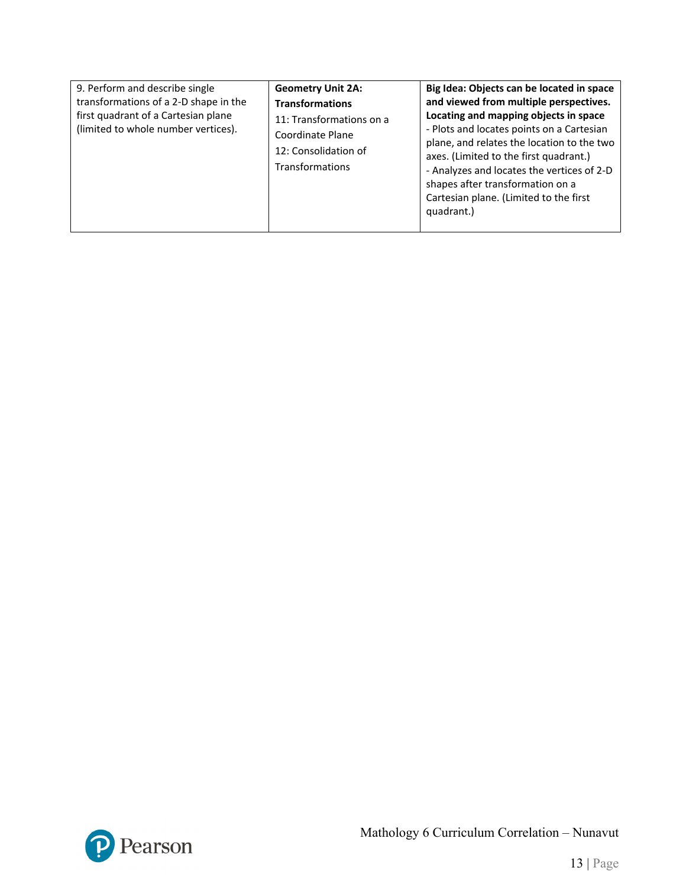| 9. Perform and describe single<br>transformations of a 2-D shape in the<br>first quadrant of a Cartesian plane<br>(limited to whole number vertices). | <b>Geometry Unit 2A:</b><br><b>Transformations</b><br>11: Transformations on a<br>Coordinate Plane<br>12: Consolidation of<br>Transformations | Big Idea: Objects can be located in space<br>and viewed from multiple perspectives.<br>Locating and mapping objects in space<br>- Plots and locates points on a Cartesian<br>plane, and relates the location to the two<br>axes. (Limited to the first quadrant.)<br>- Analyzes and locates the vertices of 2-D<br>shapes after transformation on a<br>Cartesian plane. (Limited to the first<br>quadrant.) |
|-------------------------------------------------------------------------------------------------------------------------------------------------------|-----------------------------------------------------------------------------------------------------------------------------------------------|-------------------------------------------------------------------------------------------------------------------------------------------------------------------------------------------------------------------------------------------------------------------------------------------------------------------------------------------------------------------------------------------------------------|
|-------------------------------------------------------------------------------------------------------------------------------------------------------|-----------------------------------------------------------------------------------------------------------------------------------------------|-------------------------------------------------------------------------------------------------------------------------------------------------------------------------------------------------------------------------------------------------------------------------------------------------------------------------------------------------------------------------------------------------------------|

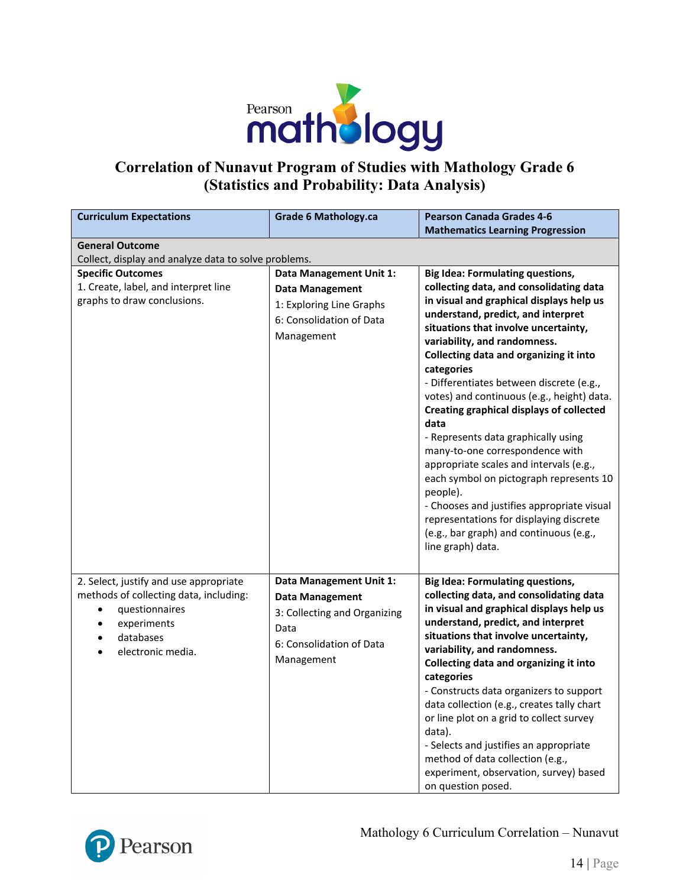

## **Correlation of Nunavut Program of Studies with Mathology Grade 6 (Statistics and Probability: Data Analysis)**

| <b>Curriculum Expectations</b>                                                                                                                                                                          | <b>Grade 6 Mathology.ca</b>                                                                                                    | <b>Pearson Canada Grades 4-6</b><br><b>Mathematics Learning Progression</b>                                                                                                                                                                                                                                                                                                                                                                                                                                                                                                                                                                                                                                                                                                                    |  |  |  |
|---------------------------------------------------------------------------------------------------------------------------------------------------------------------------------------------------------|--------------------------------------------------------------------------------------------------------------------------------|------------------------------------------------------------------------------------------------------------------------------------------------------------------------------------------------------------------------------------------------------------------------------------------------------------------------------------------------------------------------------------------------------------------------------------------------------------------------------------------------------------------------------------------------------------------------------------------------------------------------------------------------------------------------------------------------------------------------------------------------------------------------------------------------|--|--|--|
| <b>General Outcome</b>                                                                                                                                                                                  |                                                                                                                                |                                                                                                                                                                                                                                                                                                                                                                                                                                                                                                                                                                                                                                                                                                                                                                                                |  |  |  |
| Collect, display and analyze data to solve problems.                                                                                                                                                    |                                                                                                                                |                                                                                                                                                                                                                                                                                                                                                                                                                                                                                                                                                                                                                                                                                                                                                                                                |  |  |  |
| <b>Specific Outcomes</b><br>1. Create, label, and interpret line<br>graphs to draw conclusions.                                                                                                         | <b>Data Management Unit 1:</b><br><b>Data Management</b><br>1: Exploring Line Graphs<br>6: Consolidation of Data<br>Management | <b>Big Idea: Formulating questions,</b><br>collecting data, and consolidating data<br>in visual and graphical displays help us<br>understand, predict, and interpret<br>situations that involve uncertainty,<br>variability, and randomness.<br>Collecting data and organizing it into<br>categories<br>- Differentiates between discrete (e.g.,<br>votes) and continuous (e.g., height) data.<br><b>Creating graphical displays of collected</b><br>data<br>- Represents data graphically using<br>many-to-one correspondence with<br>appropriate scales and intervals (e.g.,<br>each symbol on pictograph represents 10<br>people).<br>- Chooses and justifies appropriate visual<br>representations for displaying discrete<br>(e.g., bar graph) and continuous (e.g.,<br>line graph) data. |  |  |  |
| 2. Select, justify and use appropriate<br>methods of collecting data, including:<br>questionnaires<br>$\bullet$<br>experiments<br>$\bullet$<br>databases<br>$\bullet$<br>electronic media.<br>$\bullet$ | Data Management Unit 1:<br>Data Management<br>3: Collecting and Organizing<br>Data<br>6: Consolidation of Data<br>Management   | <b>Big Idea: Formulating questions,</b><br>collecting data, and consolidating data<br>in visual and graphical displays help us<br>understand, predict, and interpret<br>situations that involve uncertainty,<br>variability, and randomness.<br>Collecting data and organizing it into<br>categories<br>- Constructs data organizers to support<br>data collection (e.g., creates tally chart<br>or line plot on a grid to collect survey<br>data).<br>- Selects and justifies an appropriate<br>method of data collection (e.g.,<br>experiment, observation, survey) based<br>on question posed.                                                                                                                                                                                              |  |  |  |

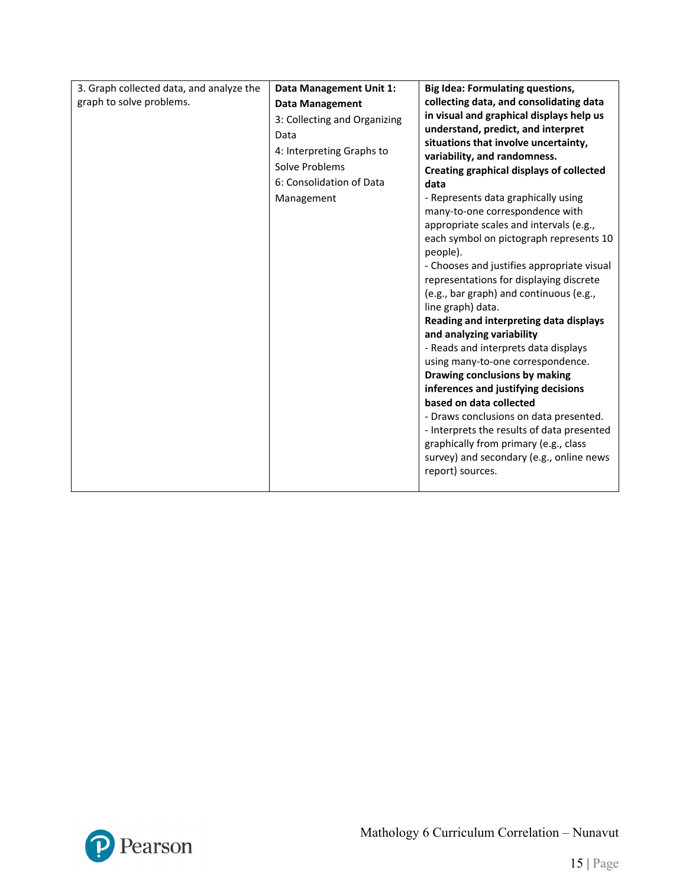| 3. Graph collected data, and analyze the | Data Management Unit 1:      | <b>Big Idea: Formulating questions,</b>                                            |
|------------------------------------------|------------------------------|------------------------------------------------------------------------------------|
| graph to solve problems.                 | <b>Data Management</b>       | collecting data, and consolidating data                                            |
|                                          | 3: Collecting and Organizing | in visual and graphical displays help us                                           |
|                                          | Data                         | understand, predict, and interpret                                                 |
|                                          | 4: Interpreting Graphs to    | situations that involve uncertainty,                                               |
|                                          | Solve Problems               | variability, and randomness.                                                       |
|                                          | 6: Consolidation of Data     | Creating graphical displays of collected                                           |
|                                          |                              | data                                                                               |
|                                          | Management                   | - Represents data graphically using                                                |
|                                          |                              | many-to-one correspondence with                                                    |
|                                          |                              | appropriate scales and intervals (e.g.,                                            |
|                                          |                              | each symbol on pictograph represents 10                                            |
|                                          |                              | people).                                                                           |
|                                          |                              | - Chooses and justifies appropriate visual                                         |
|                                          |                              | representations for displaying discrete<br>(e.g., bar graph) and continuous (e.g., |
|                                          |                              | line graph) data.                                                                  |
|                                          |                              | Reading and interpreting data displays                                             |
|                                          |                              | and analyzing variability                                                          |
|                                          |                              | - Reads and interprets data displays                                               |
|                                          |                              | using many-to-one correspondence.                                                  |
|                                          |                              | Drawing conclusions by making                                                      |
|                                          |                              | inferences and justifying decisions                                                |
|                                          |                              | based on data collected                                                            |
|                                          |                              | - Draws conclusions on data presented.                                             |
|                                          |                              | - Interprets the results of data presented                                         |
|                                          |                              | graphically from primary (e.g., class                                              |
|                                          |                              | survey) and secondary (e.g., online news                                           |
|                                          |                              | report) sources.                                                                   |
|                                          |                              |                                                                                    |